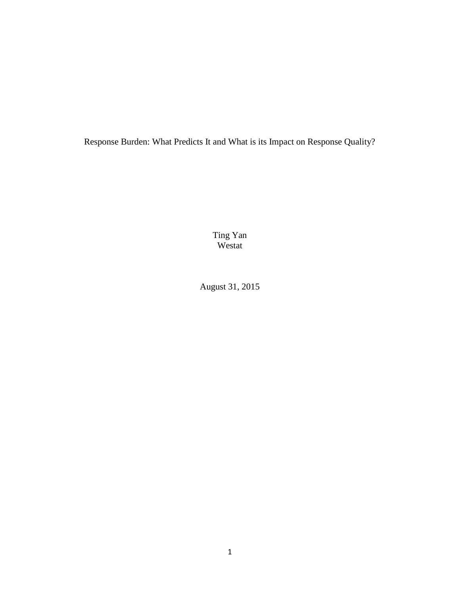Response Burden: What Predicts It and What is its Impact on Response Quality?

Ting Yan Westat

August 31, 2015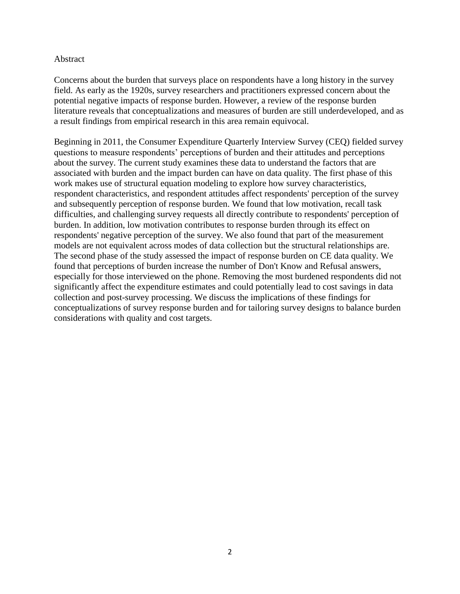# Abstract

Concerns about the burden that surveys place on respondents have a long history in the survey field. As early as the 1920s, survey researchers and practitioners expressed concern about the potential negative impacts of response burden. However, a review of the response burden literature reveals that conceptualizations and measures of burden are still underdeveloped, and as a result findings from empirical research in this area remain equivocal.

Beginning in 2011, the Consumer Expenditure Quarterly Interview Survey (CEQ) fielded survey questions to measure respondents' perceptions of burden and their attitudes and perceptions about the survey. The current study examines these data to understand the factors that are associated with burden and the impact burden can have on data quality. The first phase of this work makes use of structural equation modeling to explore how survey characteristics, respondent characteristics, and respondent attitudes affect respondents' perception of the survey and subsequently perception of response burden. We found that low motivation, recall task difficulties, and challenging survey requests all directly contribute to respondents' perception of burden. In addition, low motivation contributes to response burden through its effect on respondents' negative perception of the survey. We also found that part of the measurement models are not equivalent across modes of data collection but the structural relationships are. The second phase of the study assessed the impact of response burden on CE data quality. We found that perceptions of burden increase the number of Don't Know and Refusal answers, especially for those interviewed on the phone. Removing the most burdened respondents did not significantly affect the expenditure estimates and could potentially lead to cost savings in data collection and post-survey processing. We discuss the implications of these findings for conceptualizations of survey response burden and for tailoring survey designs to balance burden considerations with quality and cost targets.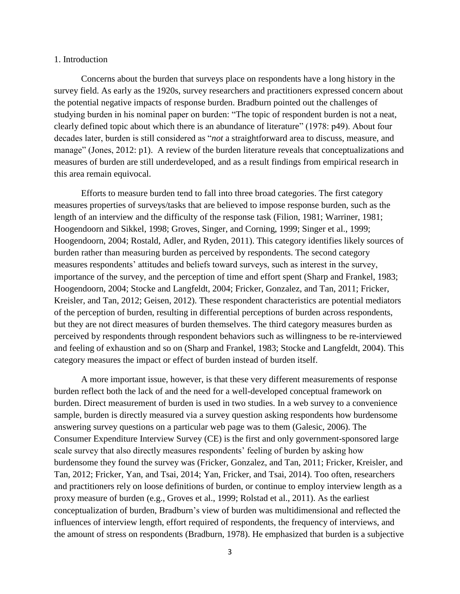#### 1. Introduction

Concerns about the burden that surveys place on respondents have a long history in the survey field. As early as the 1920s, survey researchers and practitioners expressed concern about the potential negative impacts of response burden. Bradburn pointed out the challenges of studying burden in his nominal paper on burden: "The topic of respondent burden is not a neat, clearly defined topic about which there is an abundance of literature" (1978: p49). About four decades later, burden is still considered as "*not* a straightforward area to discuss, measure, and manage" (Jones, 2012: p1). A review of the burden literature reveals that conceptualizations and measures of burden are still underdeveloped, and as a result findings from empirical research in this area remain equivocal.

Efforts to measure burden tend to fall into three broad categories. The first category measures properties of surveys/tasks that are believed to impose response burden, such as the length of an interview and the difficulty of the response task (Filion, 1981; Warriner, 1981; Hoogendoorn and Sikkel, 1998; Groves, Singer, and Corning, 1999; Singer et al., 1999; Hoogendoorn, 2004; Rostald, Adler, and Ryden, 2011). This category identifies likely sources of burden rather than measuring burden as perceived by respondents. The second category measures respondents' attitudes and beliefs toward surveys, such as interest in the survey, importance of the survey, and the perception of time and effort spent (Sharp and Frankel, 1983; Hoogendoorn, 2004; Stocke and Langfeldt, 2004; Fricker, Gonzalez, and Tan, 2011; Fricker, Kreisler, and Tan, 2012; Geisen, 2012). These respondent characteristics are potential mediators of the perception of burden, resulting in differential perceptions of burden across respondents, but they are not direct measures of burden themselves. The third category measures burden as perceived by respondents through respondent behaviors such as willingness to be re-interviewed and feeling of exhaustion and so on (Sharp and Frankel, 1983; Stocke and Langfeldt, 2004). This category measures the impact or effect of burden instead of burden itself.

A more important issue, however, is that these very different measurements of response burden reflect both the lack of and the need for a well-developed conceptual framework on burden. Direct measurement of burden is used in two studies. In a web survey to a convenience sample, burden is directly measured via a survey question asking respondents how burdensome answering survey questions on a particular web page was to them (Galesic, 2006). The Consumer Expenditure Interview Survey (CE) is the first and only government-sponsored large scale survey that also directly measures respondents' feeling of burden by asking how burdensome they found the survey was (Fricker, Gonzalez, and Tan, 2011; Fricker, Kreisler, and Tan, 2012; Fricker, Yan, and Tsai, 2014; Yan, Fricker, and Tsai, 2014). Too often, researchers and practitioners rely on loose definitions of burden, or continue to employ interview length as a proxy measure of burden (e.g., Groves et al., 1999; Rolstad et al., 2011). As the earliest conceptualization of burden, Bradburn's view of burden was multidimensional and reflected the influences of interview length, effort required of respondents, the frequency of interviews, and the amount of stress on respondents (Bradburn, 1978). He emphasized that burden is a subjective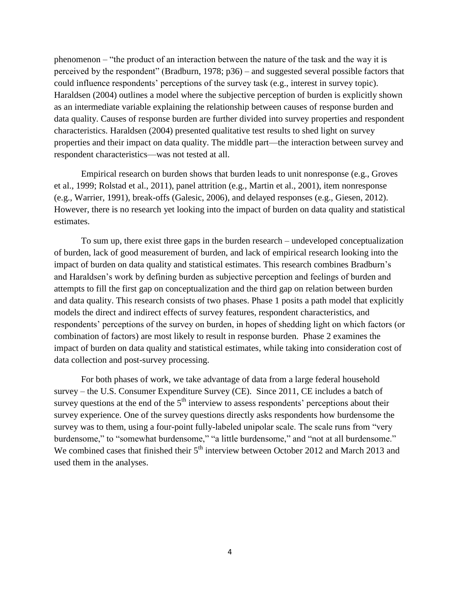phenomenon – "the product of an interaction between the nature of the task and the way it is perceived by the respondent" (Bradburn, 1978; p36) – and suggested several possible factors that could influence respondents' perceptions of the survey task (e.g., interest in survey topic). Haraldsen (2004) outlines a model where the subjective perception of burden is explicitly shown as an intermediate variable explaining the relationship between causes of response burden and data quality. Causes of response burden are further divided into survey properties and respondent characteristics. Haraldsen (2004) presented qualitative test results to shed light on survey properties and their impact on data quality. The middle part—the interaction between survey and respondent characteristics—was not tested at all.

Empirical research on burden shows that burden leads to unit nonresponse (e.g., Groves et al., 1999; Rolstad et al., 2011), panel attrition (e.g., Martin et al., 2001), item nonresponse (e.g., Warrier, 1991), break-offs (Galesic, 2006), and delayed responses (e.g., Giesen, 2012). However, there is no research yet looking into the impact of burden on data quality and statistical estimates.

To sum up, there exist three gaps in the burden research – undeveloped conceptualization of burden, lack of good measurement of burden, and lack of empirical research looking into the impact of burden on data quality and statistical estimates. This research combines Bradburn's and Haraldsen's work by defining burden as subjective perception and feelings of burden and attempts to fill the first gap on conceptualization and the third gap on relation between burden and data quality. This research consists of two phases. Phase 1 posits a path model that explicitly models the direct and indirect effects of survey features, respondent characteristics, and respondents' perceptions of the survey on burden, in hopes of shedding light on which factors (or combination of factors) are most likely to result in response burden. Phase 2 examines the impact of burden on data quality and statistical estimates, while taking into consideration cost of data collection and post-survey processing.

For both phases of work, we take advantage of data from a large federal household survey – the U.S. Consumer Expenditure Survey (CE). Since 2011, CE includes a batch of survey questions at the end of the  $5<sup>th</sup>$  interview to assess respondents' perceptions about their survey experience. One of the survey questions directly asks respondents how burdensome the survey was to them, using a four-point fully-labeled unipolar scale. The scale runs from "very burdensome," to "somewhat burdensome," "a little burdensome," and "not at all burdensome." We combined cases that finished their  $5<sup>th</sup>$  interview between October 2012 and March 2013 and used them in the analyses.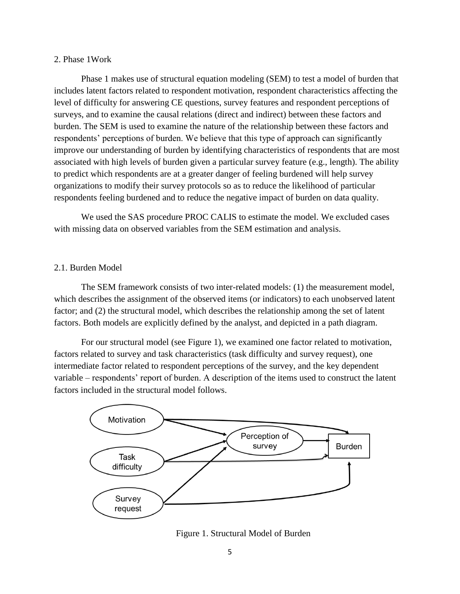# 2. Phase 1Work

Phase 1 makes use of structural equation modeling (SEM) to test a model of burden that includes latent factors related to respondent motivation, respondent characteristics affecting the level of difficulty for answering CE questions, survey features and respondent perceptions of surveys, and to examine the causal relations (direct and indirect) between these factors and burden. The SEM is used to examine the nature of the relationship between these factors and respondents' perceptions of burden. We believe that this type of approach can significantly improve our understanding of burden by identifying characteristics of respondents that are most associated with high levels of burden given a particular survey feature (e.g., length). The ability to predict which respondents are at a greater danger of feeling burdened will help survey organizations to modify their survey protocols so as to reduce the likelihood of particular respondents feeling burdened and to reduce the negative impact of burden on data quality.

We used the SAS procedure PROC CALIS to estimate the model. We excluded cases with missing data on observed variables from the SEM estimation and analysis.

# 2.1. Burden Model

The SEM framework consists of two inter-related models: (1) the measurement model, which describes the assignment of the observed items (or indicators) to each unobserved latent factor; and (2) the structural model, which describes the relationship among the set of latent factors. Both models are explicitly defined by the analyst, and depicted in a path diagram.

For our structural model (see Figure 1), we examined one factor related to motivation, factors related to survey and task characteristics (task difficulty and survey request), one intermediate factor related to respondent perceptions of the survey, and the key dependent variable – respondents' report of burden. A description of the items used to construct the latent factors included in the structural model follows.



Figure 1. Structural Model of Burden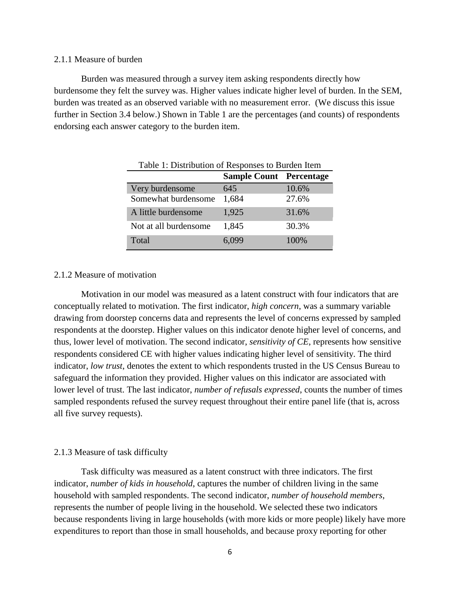### 2.1.1 Measure of burden

Burden was measured through a survey item asking respondents directly how burdensome they felt the survey was. Higher values indicate higher level of burden. In the SEM, burden was treated as an observed variable with no measurement error. (We discuss this issue further in Section 3.4 below.) Shown in Table 1 are the percentages (and counts) of respondents endorsing each answer category to the burden item.

| Table 1: Distribution of Responses to Burden Item |       |       |  |  |  |  |  |
|---------------------------------------------------|-------|-------|--|--|--|--|--|
| <b>Sample Count</b> Percentage                    |       |       |  |  |  |  |  |
| Very burdensome                                   | 645   | 10.6% |  |  |  |  |  |
| Somewhat burdensome                               | 1,684 | 27.6% |  |  |  |  |  |
| A little burdensome                               | 1,925 | 31.6% |  |  |  |  |  |
| Not at all burdensome                             | 1,845 | 30.3% |  |  |  |  |  |
| Total                                             | 6,099 | 100%  |  |  |  |  |  |

### 2.1.2 Measure of motivation

Motivation in our model was measured as a latent construct with four indicators that are conceptually related to motivation. The first indicator, *high concern*, was a summary variable drawing from doorstep concerns data and represents the level of concerns expressed by sampled respondents at the doorstep. Higher values on this indicator denote higher level of concerns, and thus, lower level of motivation. The second indicator, *sensitivity of CE*, represents how sensitive respondents considered CE with higher values indicating higher level of sensitivity. The third indicator, *low trust*, denotes the extent to which respondents trusted in the US Census Bureau to safeguard the information they provided. Higher values on this indicator are associated with lower level of trust. The last indicator, *number of refusals expressed*, counts the number of times sampled respondents refused the survey request throughout their entire panel life (that is, across all five survey requests).

#### 2.1.3 Measure of task difficulty

Task difficulty was measured as a latent construct with three indicators. The first indicator, *number of kids in household*, captures the number of children living in the same household with sampled respondents. The second indicator, *number of household members*, represents the number of people living in the household. We selected these two indicators because respondents living in large households (with more kids or more people) likely have more expenditures to report than those in small households, and because proxy reporting for other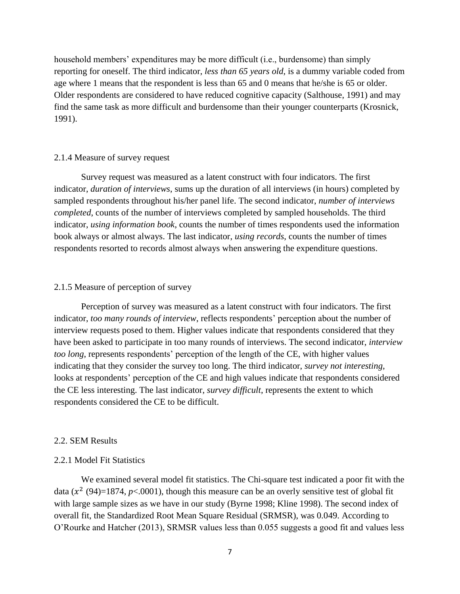household members' expenditures may be more difficult (i.e., burdensome) than simply reporting for oneself. The third indicator, *less than 65 years old*, is a dummy variable coded from age where 1 means that the respondent is less than 65 and 0 means that he/she is 65 or older. Older respondents are considered to have reduced cognitive capacity (Salthouse, 1991) and may find the same task as more difficult and burdensome than their younger counterparts (Krosnick, 1991).

#### 2.1.4 Measure of survey request

Survey request was measured as a latent construct with four indicators. The first indicator, *duration of interviews*, sums up the duration of all interviews (in hours) completed by sampled respondents throughout his/her panel life. The second indicator, *number of interviews completed*, counts of the number of interviews completed by sampled households. The third indicator, *using information book*, counts the number of times respondents used the information book always or almost always. The last indicator, *using records*, counts the number of times respondents resorted to records almost always when answering the expenditure questions.

#### 2.1.5 Measure of perception of survey

Perception of survey was measured as a latent construct with four indicators. The first indicator, *too many rounds of interview*, reflects respondents' perception about the number of interview requests posed to them. Higher values indicate that respondents considered that they have been asked to participate in too many rounds of interviews. The second indicator, *interview too long*, represents respondents' perception of the length of the CE, with higher values indicating that they consider the survey too long. The third indicator, *survey not interesting*, looks at respondents' perception of the CE and high values indicate that respondents considered the CE less interesting. The last indicator, *survey difficult*, represents the extent to which respondents considered the CE to be difficult.

#### 2.2. SEM Results

### 2.2.1 Model Fit Statistics

We examined several model fit statistics. The Chi-square test indicated a poor fit with the data  $(x^2 (94)=1874, p<0.001)$ , though this measure can be an overly sensitive test of global fit with large sample sizes as we have in our study (Byrne 1998; Kline 1998). The second index of overall fit, the Standardized Root Mean Square Residual (SRMSR), was 0.049. According to O'Rourke and Hatcher (2013), SRMSR values less than 0.055 suggests a good fit and values less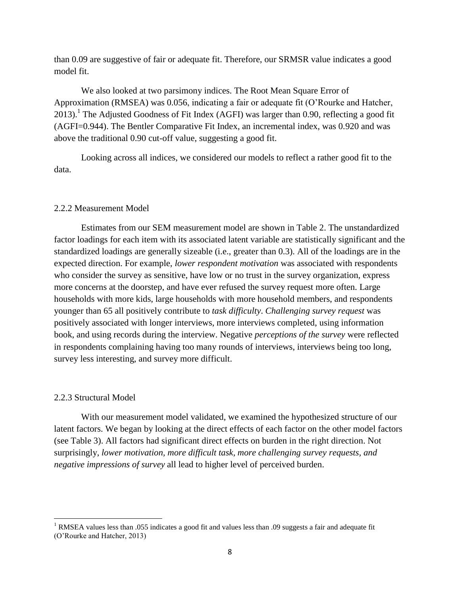than 0.09 are suggestive of fair or adequate fit. Therefore, our SRMSR value indicates a good model fit.

We also looked at two parsimony indices. The Root Mean Square Error of Approximation (RMSEA) was 0.056, indicating a fair or adequate fit (O'Rourke and Hatcher, 2013).<sup>1</sup> The Adjusted Goodness of Fit Index (AGFI) was larger than 0.90, reflecting a good fit (AGFI=0.944). The Bentler Comparative Fit Index, an incremental index, was 0.920 and was above the traditional 0.90 cut-off value, suggesting a good fit.

Looking across all indices, we considered our models to reflect a rather good fit to the data.

# 2.2.2 Measurement Model

Estimates from our SEM measurement model are shown in Table 2. The unstandardized factor loadings for each item with its associated latent variable are statistically significant and the standardized loadings are generally sizeable (i.e., greater than 0.3). All of the loadings are in the expected direction. For example, *lower respondent motivation* was associated with respondents who consider the survey as sensitive, have low or no trust in the survey organization, express more concerns at the doorstep, and have ever refused the survey request more often. Large households with more kids, large households with more household members, and respondents younger than 65 all positively contribute to *task difficulty*. *Challenging survey request* was positively associated with longer interviews, more interviews completed, using information book, and using records during the interview. Negative *perceptions of the survey* were reflected in respondents complaining having too many rounds of interviews, interviews being too long, survey less interesting, and survey more difficult.

### 2.2.3 Structural Model

 $\overline{\phantom{a}}$ 

With our measurement model validated, we examined the hypothesized structure of our latent factors. We began by looking at the direct effects of each factor on the other model factors (see Table 3). All factors had significant direct effects on burden in the right direction. Not surprisingly, *lower motivation, more difficult task, more challenging survey requests, and negative impressions of survey* all lead to higher level of perceived burden.

<sup>&</sup>lt;sup>1</sup> RMSEA values less than .055 indicates a good fit and values less than .09 suggests a fair and adequate fit (O'Rourke and Hatcher, 2013)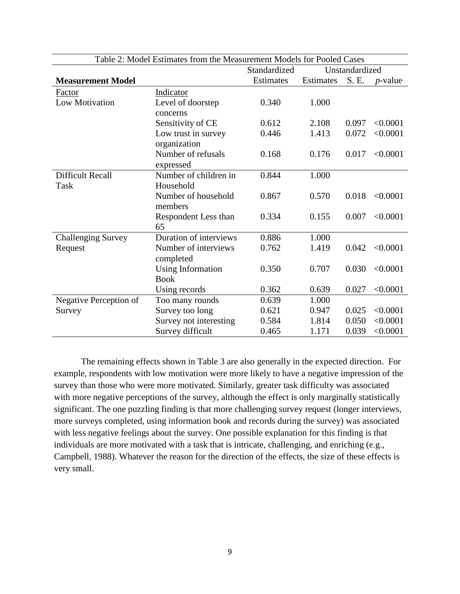| Table 2: Model Estimates from the Measurement Models for Pooled Cases |                        |                                |           |       |            |  |
|-----------------------------------------------------------------------|------------------------|--------------------------------|-----------|-------|------------|--|
|                                                                       |                        | Standardized<br>Unstandardized |           |       |            |  |
| <b>Measurement Model</b>                                              |                        | Estimates                      | Estimates | S. E. | $p$ -value |  |
| Factor                                                                | Indicator              |                                |           |       |            |  |
| Low Motivation                                                        | Level of doorstep      | 0.340                          | 1.000     |       |            |  |
|                                                                       | concerns               |                                |           |       |            |  |
|                                                                       | Sensitivity of CE      | 0.612                          | 2.108     | 0.097 | < 0.0001   |  |
|                                                                       | Low trust in survey    | 0.446                          | 1.413     | 0.072 | < 0.0001   |  |
|                                                                       | organization           |                                |           |       |            |  |
|                                                                       | Number of refusals     | 0.168                          | 0.176     | 0.017 | < 0.0001   |  |
|                                                                       | expressed              |                                |           |       |            |  |
| <b>Difficult Recall</b>                                               | Number of children in  | 0.844                          | 1.000     |       |            |  |
| Task                                                                  | Household              |                                |           |       |            |  |
|                                                                       | Number of household    | 0.867                          | 0.570     | 0.018 | < 0.0001   |  |
|                                                                       | members                |                                |           |       |            |  |
|                                                                       | Respondent Less than   | 0.334                          | 0.155     | 0.007 | < 0.0001   |  |
|                                                                       | 65                     |                                |           |       |            |  |
| <b>Challenging Survey</b>                                             | Duration of interviews | 0.886                          | 1.000     |       |            |  |
| Request                                                               | Number of interviews   | 0.762                          | 1.419     | 0.042 | < 0.0001   |  |
|                                                                       | completed              |                                |           |       |            |  |
|                                                                       | Using Information      | 0.350                          | 0.707     | 0.030 | < 0.0001   |  |
|                                                                       | <b>Book</b>            |                                |           |       |            |  |
|                                                                       | Using records          | 0.362                          | 0.639     | 0.027 | < 0.0001   |  |
| Negative Perception of                                                | Too many rounds        | 0.639                          | 1.000     |       |            |  |
| Survey                                                                | Survey too long        | 0.621                          | 0.947     | 0.025 | < 0.0001   |  |
|                                                                       | Survey not interesting | 0.584                          | 1.814     | 0.050 | < 0.0001   |  |
|                                                                       | Survey difficult       | 0.465                          | 1.171     | 0.039 | < 0.0001   |  |

The remaining effects shown in Table 3 are also generally in the expected direction. For example, respondents with low motivation were more likely to have a negative impression of the survey than those who were more motivated. Similarly, greater task difficulty was associated with more negative perceptions of the survey, although the effect is only marginally statistically significant. The one puzzling finding is that more challenging survey request (longer interviews, more surveys completed, using information book and records during the survey) was associated with less negative feelings about the survey. One possible explanation for this finding is that individuals are more motivated with a task that is intricate, challenging, and enriching (e.g., Campbell, 1988). Whatever the reason for the direction of the effects, the size of these effects is very small.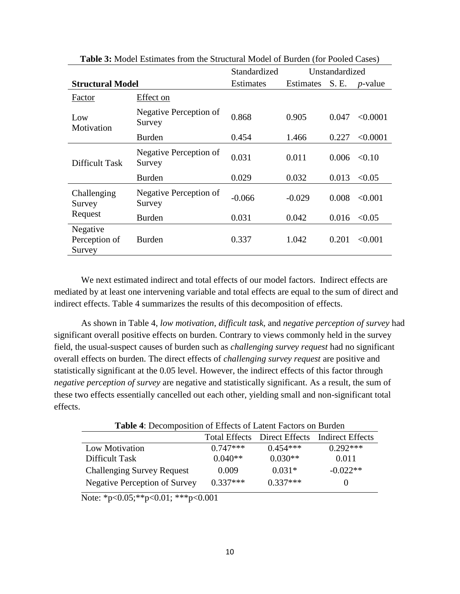|                                                           |                                  | Standardized |                  | Unstandardized |                 |
|-----------------------------------------------------------|----------------------------------|--------------|------------------|----------------|-----------------|
| <b>Structural Model</b>                                   |                                  | Estimates    | <b>Estimates</b> | S. E.          | <i>p</i> -value |
| Factor                                                    | Effect on                        |              |                  |                |                 |
| Low<br>Motivation                                         | Negative Perception of<br>Survey | 0.868        | 0.905            | 0.047          | < 0.0001        |
|                                                           | Burden                           | 0.454        | 1.466            | 0.227          | < 0.0001        |
| Difficult Task                                            | Negative Perception of<br>Survey | 0.031        | 0.011            | 0.006          | < 0.10          |
|                                                           | <b>Burden</b>                    | 0.029        | 0.032            | 0.013          | < 0.05          |
| Negative Perception of<br>Challenging<br>Survey<br>Survey |                                  | $-0.066$     | $-0.029$         | 0.008          | < 0.001         |
| Request                                                   | Burden                           | 0.031        | 0.042            | 0.016          | < 0.05          |
| Negative<br>Perception of<br>Survey                       | Burden                           | 0.337        | 1.042            | 0.201          | < 0.001         |

**Table 3:** Model Estimates from the Structural Model of Burden (for Pooled Cases)

We next estimated indirect and total effects of our model factors. Indirect effects are mediated by at least one intervening variable and total effects are equal to the sum of direct and indirect effects. Table 4 summarizes the results of this decomposition of effects.

As shown in Table 4, *low motivation*, *difficult task,* and *negative perception of survey* had significant overall positive effects on burden. Contrary to views commonly held in the survey field, the usual-suspect causes of burden such as *challenging survey request* had no significant overall effects on burden. The direct effects of *challenging survey request* are positive and statistically significant at the 0.05 level. However, the indirect effects of this factor through *negative perception of survey* are negative and statistically significant. As a result, the sum of these two effects essentially cancelled out each other, yielding small and non-significant total effects.

**Table 4**: Decomposition of Effects of Latent Factors on Burden

|                                      | Total Effects | Direct Effects | <b>Indirect Effects</b> |
|--------------------------------------|---------------|----------------|-------------------------|
| Low Motivation                       | $0.747***$    | $0.454***$     | $0.292***$              |
| Difficult Task                       | $0.040**$     | $0.030**$      | 0.011                   |
| <b>Challenging Survey Request</b>    | 0.009         | $0.031*$       | $-0.022**$              |
| <b>Negative Perception of Survey</b> | $0.337***$    | $0.337***$     |                         |

Note: \*p<0.05;\*\*p<0.01; \*\*\*p<0.001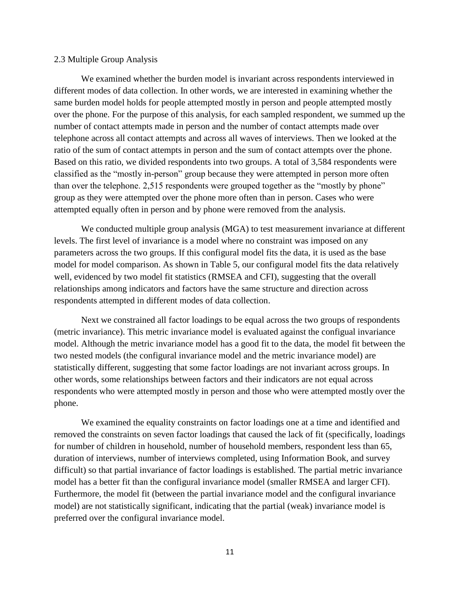#### 2.3 Multiple Group Analysis

We examined whether the burden model is invariant across respondents interviewed in different modes of data collection. In other words, we are interested in examining whether the same burden model holds for people attempted mostly in person and people attempted mostly over the phone. For the purpose of this analysis, for each sampled respondent, we summed up the number of contact attempts made in person and the number of contact attempts made over telephone across all contact attempts and across all waves of interviews. Then we looked at the ratio of the sum of contact attempts in person and the sum of contact attempts over the phone. Based on this ratio, we divided respondents into two groups. A total of 3,584 respondents were classified as the "mostly in-person" group because they were attempted in person more often than over the telephone. 2,515 respondents were grouped together as the "mostly by phone" group as they were attempted over the phone more often than in person. Cases who were attempted equally often in person and by phone were removed from the analysis.

We conducted multiple group analysis (MGA) to test measurement invariance at different levels. The first level of invariance is a model where no constraint was imposed on any parameters across the two groups. If this configural model fits the data, it is used as the base model for model comparison. As shown in Table 5, our configural model fits the data relatively well, evidenced by two model fit statistics (RMSEA and CFI), suggesting that the overall relationships among indicators and factors have the same structure and direction across respondents attempted in different modes of data collection.

Next we constrained all factor loadings to be equal across the two groups of respondents (metric invariance). This metric invariance model is evaluated against the configual invariance model. Although the metric invariance model has a good fit to the data, the model fit between the two nested models (the configural invariance model and the metric invariance model) are statistically different, suggesting that some factor loadings are not invariant across groups. In other words, some relationships between factors and their indicators are not equal across respondents who were attempted mostly in person and those who were attempted mostly over the phone.

We examined the equality constraints on factor loadings one at a time and identified and removed the constraints on seven factor loadings that caused the lack of fit (specifically, loadings for number of children in household, number of household members, respondent less than 65, duration of interviews, number of interviews completed, using Information Book, and survey difficult) so that partial invariance of factor loadings is established. The partial metric invariance model has a better fit than the configural invariance model (smaller RMSEA and larger CFI). Furthermore, the model fit (between the partial invariance model and the configural invariance model) are not statistically significant, indicating that the partial (weak) invariance model is preferred over the configural invariance model.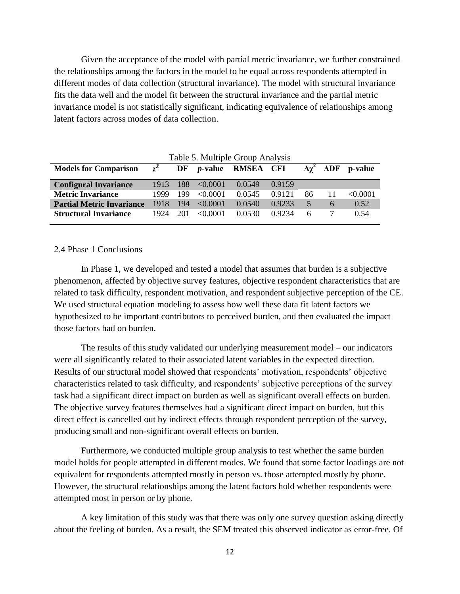Given the acceptance of the model with partial metric invariance, we further constrained the relationships among the factors in the model to be equal across respondents attempted in different modes of data collection (structural invariance). The model with structural invariance fits the data well and the model fit between the structural invariance and the partial metric invariance model is not statistically significant, indicating equivalence of relationships among latent factors across modes of data collection.

| Table 5. Multiple Group Analysis |            |      |               |                           |        |    |     |          |
|----------------------------------|------------|------|---------------|---------------------------|--------|----|-----|----------|
| <b>Models for Comparison</b>     | $\gamma^2$ | DF   |               | <i>p</i> -value RMSEA CFI |        |    | ΔDF | p-value  |
| <b>Configural Invariance</b>     | 1913       | -188 | $\leq 0.0001$ | 0.0549                    | 0.9159 |    |     |          |
| <b>Metric Invariance</b>         | 1999       | 199  | $\leq 0.0001$ | 0.0545                    | 0.9121 | 86 | 11  | < 0.0001 |
| <b>Partial Metric Invariance</b> | 1918       | 194  | $\leq 0.0001$ | 0.0540                    | 0.9233 | 5  | 6   | 0.52     |
| <b>Structural Invariance</b>     | 1924       | 201  | $\leq 0.0001$ | 0.0530                    | 0.9234 | 6  |     | 0.54     |
|                                  |            |      |               |                           |        |    |     |          |

### 2.4 Phase 1 Conclusions

In Phase 1, we developed and tested a model that assumes that burden is a subjective phenomenon, affected by objective survey features, objective respondent characteristics that are related to task difficulty, respondent motivation, and respondent subjective perception of the CE. We used structural equation modeling to assess how well these data fit latent factors we hypothesized to be important contributors to perceived burden, and then evaluated the impact those factors had on burden.

The results of this study validated our underlying measurement model – our indicators were all significantly related to their associated latent variables in the expected direction. Results of our structural model showed that respondents' motivation, respondents' objective characteristics related to task difficulty, and respondents' subjective perceptions of the survey task had a significant direct impact on burden as well as significant overall effects on burden. The objective survey features themselves had a significant direct impact on burden, but this direct effect is cancelled out by indirect effects through respondent perception of the survey, producing small and non-significant overall effects on burden.

Furthermore, we conducted multiple group analysis to test whether the same burden model holds for people attempted in different modes. We found that some factor loadings are not equivalent for respondents attempted mostly in person vs. those attempted mostly by phone. However, the structural relationships among the latent factors hold whether respondents were attempted most in person or by phone.

A key limitation of this study was that there was only one survey question asking directly about the feeling of burden. As a result, the SEM treated this observed indicator as error-free. Of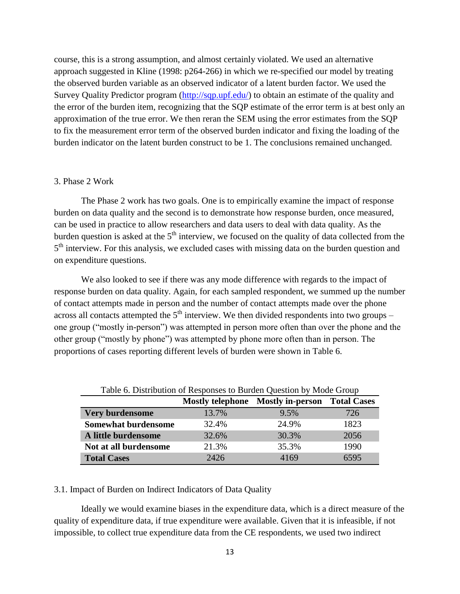course, this is a strong assumption, and almost certainly violated. We used an alternative approach suggested in Kline (1998: p264-266) in which we re-specified our model by treating the observed burden variable as an observed indicator of a latent burden factor. We used the Survey Quality Predictor program [\(http://sqp.upf.edu/\)](http://sqp.upf.edu/) to obtain an estimate of the quality and the error of the burden item, recognizing that the SQP estimate of the error term is at best only an approximation of the true error. We then reran the SEM using the error estimates from the SQP to fix the measurement error term of the observed burden indicator and fixing the loading of the burden indicator on the latent burden construct to be 1. The conclusions remained unchanged.

### 3. Phase 2 Work

The Phase 2 work has two goals. One is to empirically examine the impact of response burden on data quality and the second is to demonstrate how response burden, once measured, can be used in practice to allow researchers and data users to deal with data quality. As the burden question is asked at the  $5<sup>th</sup>$  interview, we focused on the quality of data collected from the 5<sup>th</sup> interview. For this analysis, we excluded cases with missing data on the burden question and on expenditure questions.

We also looked to see if there was any mode difference with regards to the impact of response burden on data quality. Again, for each sampled respondent, we summed up the number of contact attempts made in person and the number of contact attempts made over the phone across all contacts attempted the  $5<sup>th</sup>$  interview. We then divided respondents into two groups – one group ("mostly in-person") was attempted in person more often than over the phone and the other group ("mostly by phone") was attempted by phone more often than in person. The proportions of cases reporting different levels of burden were shown in Table 6.

| Table 6. Distribution of Responses to Burden Question by Mode Group |                                               |       |      |  |  |  |  |
|---------------------------------------------------------------------|-----------------------------------------------|-------|------|--|--|--|--|
|                                                                     | Mostly telephone Mostly in-person Total Cases |       |      |  |  |  |  |
| Very burdensome                                                     | 13.7%                                         | 9.5%  | 726  |  |  |  |  |
| <b>Somewhat burdensome</b>                                          | 32.4%                                         | 24.9% | 1823 |  |  |  |  |
| A little burdensome                                                 | 32.6%                                         | 30.3% | 2056 |  |  |  |  |
| Not at all burdensome                                               | 21.3%                                         | 35.3% | 1990 |  |  |  |  |
| <b>Total Cases</b>                                                  | 2426                                          | 4169  | 6595 |  |  |  |  |

#### 3.1. Impact of Burden on Indirect Indicators of Data Quality

Ideally we would examine biases in the expenditure data, which is a direct measure of the quality of expenditure data, if true expenditure were available. Given that it is infeasible, if not impossible, to collect true expenditure data from the CE respondents, we used two indirect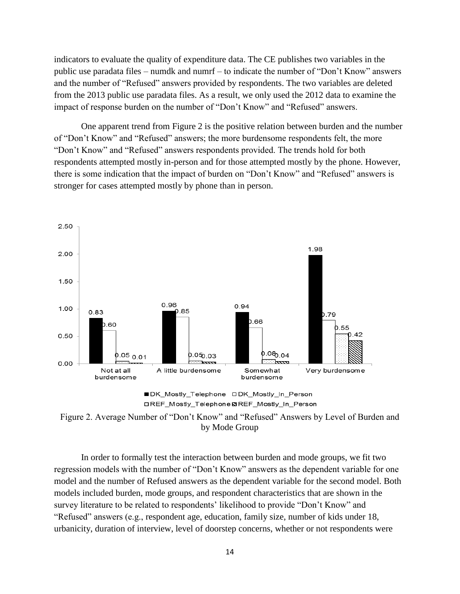indicators to evaluate the quality of expenditure data. The CE publishes two variables in the public use paradata files – numdk and numrf – to indicate the number of "Don't Know" answers and the number of "Refused" answers provided by respondents. The two variables are deleted from the 2013 public use paradata files. As a result, we only used the 2012 data to examine the impact of response burden on the number of "Don't Know" and "Refused" answers.

One apparent trend from Figure 2 is the positive relation between burden and the number of "Don't Know" and "Refused" answers; the more burdensome respondents felt, the more "Don't Know" and "Refused" answers respondents provided. The trends hold for both respondents attempted mostly in-person and for those attempted mostly by the phone. However, there is some indication that the impact of burden on "Don't Know" and "Refused" answers is stronger for cases attempted mostly by phone than in person.







In order to formally test the interaction between burden and mode groups, we fit two regression models with the number of "Don't Know" answers as the dependent variable for one model and the number of Refused answers as the dependent variable for the second model. Both models included burden, mode groups, and respondent characteristics that are shown in the survey literature to be related to respondents' likelihood to provide "Don't Know" and "Refused" answers (e.g., respondent age, education, family size, number of kids under 18, urbanicity, duration of interview, level of doorstep concerns, whether or not respondents were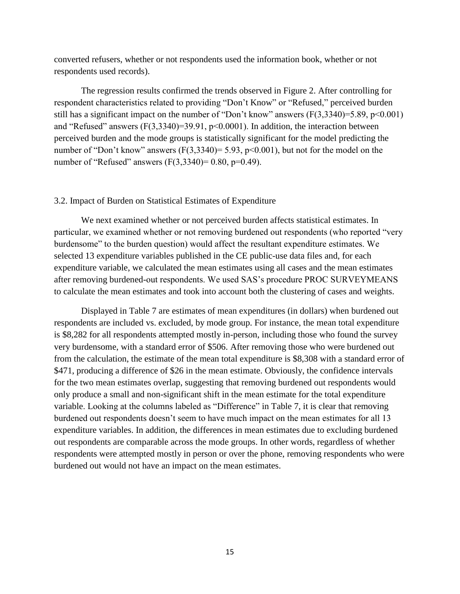converted refusers, whether or not respondents used the information book, whether or not respondents used records).

The regression results confirmed the trends observed in Figure 2. After controlling for respondent characteristics related to providing "Don't Know" or "Refused," perceived burden still has a significant impact on the number of "Don't know" answers  $(F(3,3340)=5.89, p<0.001)$ and "Refused" answers  $(F(3,3340)=39.91, p<0.0001)$ . In addition, the interaction between perceived burden and the mode groups is statistically significant for the model predicting the number of "Don't know" answers  $(F(3,3340)=5.93, p<0.001)$ , but not for the model on the number of "Refused" answers  $(F(3,3340)=0.80, p=0.49)$ .

### 3.2. Impact of Burden on Statistical Estimates of Expenditure

We next examined whether or not perceived burden affects statistical estimates. In particular, we examined whether or not removing burdened out respondents (who reported "very burdensome" to the burden question) would affect the resultant expenditure estimates. We selected 13 expenditure variables published in the CE public-use data files and, for each expenditure variable, we calculated the mean estimates using all cases and the mean estimates after removing burdened-out respondents. We used SAS's procedure PROC SURVEYMEANS to calculate the mean estimates and took into account both the clustering of cases and weights.

Displayed in Table 7 are estimates of mean expenditures (in dollars) when burdened out respondents are included vs. excluded, by mode group. For instance, the mean total expenditure is \$8,282 for all respondents attempted mostly in-person, including those who found the survey very burdensome, with a standard error of \$506. After removing those who were burdened out from the calculation, the estimate of the mean total expenditure is \$8,308 with a standard error of \$471, producing a difference of \$26 in the mean estimate. Obviously, the confidence intervals for the two mean estimates overlap, suggesting that removing burdened out respondents would only produce a small and non-significant shift in the mean estimate for the total expenditure variable. Looking at the columns labeled as "Difference" in Table 7, it is clear that removing burdened out respondents doesn't seem to have much impact on the mean estimates for all 13 expenditure variables. In addition, the differences in mean estimates due to excluding burdened out respondents are comparable across the mode groups. In other words, regardless of whether respondents were attempted mostly in person or over the phone, removing respondents who were burdened out would not have an impact on the mean estimates.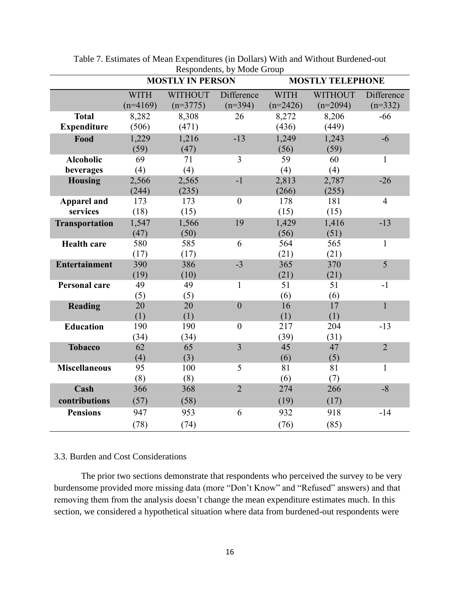|                       |             | <b>MOSTLY IN PERSON</b> | Respondents, by mode Group | <b>MOSTLY TELEPHONE</b> |                |                |  |
|-----------------------|-------------|-------------------------|----------------------------|-------------------------|----------------|----------------|--|
|                       | <b>WITH</b> | <b>WITHOUT</b>          | Difference                 | <b>WITH</b>             | <b>WITHOUT</b> | Difference     |  |
|                       | $(n=4169)$  | $(n=3775)$              | $(n=394)$                  | $(n=2426)$              | $(n=2094)$     | $(n=332)$      |  |
| <b>Total</b>          | 8,282       | 8,308                   | 26                         | 8,272                   | 8,206          | $-66$          |  |
| <b>Expenditure</b>    | (506)       | (471)                   |                            | (436)                   | (449)          |                |  |
| Food                  | 1,229       | 1,216                   | $-13$                      | 1,249                   | 1,243          | $-6$           |  |
|                       | (59)        | (47)                    |                            | (56)                    | (59)           |                |  |
| <b>Alcoholic</b>      | 69          | 71                      | $\overline{3}$             | 59                      | 60             | $\mathbf{1}$   |  |
| beverages             | (4)         | (4)                     |                            | (4)                     | (4)            |                |  |
| <b>Housing</b>        | 2,566       | 2,565                   | $-1$                       | 2,813                   | 2,787          | $-26$          |  |
|                       | (244)       | (235)                   |                            | (266)                   | (255)          |                |  |
| <b>Apparel and</b>    | 173         | 173                     | $\mathbf{0}$               | 178                     | 181            | $\overline{4}$ |  |
| services              | (18)        | (15)                    |                            | (15)                    | (15)           |                |  |
| <b>Transportation</b> | 1,547       | 1,566                   | 19                         | 1,429                   | 1,416          | $-13$          |  |
|                       | (47)        | (50)                    |                            | (56)                    | (51)           |                |  |
| <b>Health care</b>    | 580         | 585                     | 6                          | 564                     | 565            | $\mathbf{1}$   |  |
|                       | (17)        | (17)                    |                            | (21)                    | (21)           |                |  |
| <b>Entertainment</b>  | 390         | 386                     | $-3$                       | 365                     | 370            | 5              |  |
|                       | (19)        | (10)                    |                            | (21)                    | (21)           |                |  |
| <b>Personal care</b>  | 49          | 49                      | $\mathbf{1}$               | 51                      | 51             | $-1$           |  |
|                       | (5)         | (5)                     | $\overline{0}$             | (6)<br>16               | (6)<br>17      |                |  |
| <b>Reading</b>        | 20          | 20                      |                            |                         |                | $\mathbf{1}$   |  |
| <b>Education</b>      | (1)<br>190  | (1)<br>190              | $\overline{0}$             | (1)<br>217              | (1)<br>204     | $-13$          |  |
|                       | (34)        | (34)                    |                            | (39)                    | (31)           |                |  |
| <b>Tobacco</b>        | 62          | 65                      | $\overline{3}$             | 45                      | 47             | $\overline{2}$ |  |
|                       | (4)         | (3)                     |                            | (6)                     | (5)            |                |  |
| <b>Miscellaneous</b>  | 95          | 100                     | 5                          | 81                      | 81             | $\mathbf{1}$   |  |
|                       | (8)         | (8)                     |                            | (6)                     | (7)            |                |  |
| Cash                  | 366         | 368                     | $\overline{2}$             | 274                     | 266            | $-8$           |  |
| contributions         | (57)        | (58)                    |                            | (19)                    | (17)           |                |  |
| <b>Pensions</b>       | 947         | 953                     | 6                          | 932                     | 918            | $-14$          |  |
|                       | (78)        | (74)                    |                            | (76)                    | (85)           |                |  |
|                       |             |                         |                            |                         |                |                |  |

Table 7. Estimates of Mean Expenditures (in Dollars) With and Without Burdened-out Respondents, by Mode Group

# 3.3. Burden and Cost Considerations

The prior two sections demonstrate that respondents who perceived the survey to be very burdensome provided more missing data (more "Don't Know" and "Refused" answers) and that removing them from the analysis doesn't change the mean expenditure estimates much. In this section, we considered a hypothetical situation where data from burdened-out respondents were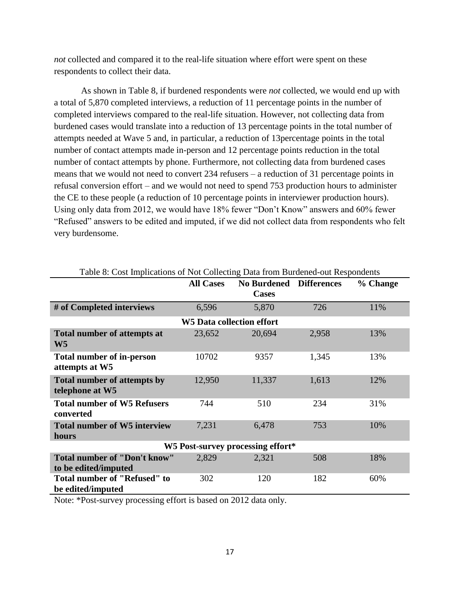*not* collected and compared it to the real-life situation where effort were spent on these respondents to collect their data.

As shown in Table 8, if burdened respondents were *not* collected, we would end up with a total of 5,870 completed interviews, a reduction of 11 percentage points in the number of completed interviews compared to the real-life situation. However, not collecting data from burdened cases would translate into a reduction of 13 percentage points in the total number of attempts needed at Wave 5 and, in particular, a reduction of 13percentage points in the total number of contact attempts made in-person and 12 percentage points reduction in the total number of contact attempts by phone. Furthermore, not collecting data from burdened cases means that we would not need to convert 234 refusers – a reduction of 31 percentage points in refusal conversion effort – and we would not need to spend 753 production hours to administer the CE to these people (a reduction of 10 percentage points in interviewer production hours). Using only data from 2012, we would have 18% fewer "Don't Know" answers and 60% fewer "Refused" answers to be edited and imputed, if we did not collect data from respondents who felt very burdensome.

|                                                             | <b>All Cases</b>          | <b>No Burdened</b><br><b>Cases</b> | <b>Differences</b> | % Change |  |  |  |
|-------------------------------------------------------------|---------------------------|------------------------------------|--------------------|----------|--|--|--|
| # of Completed interviews                                   | 6,596                     | 5,870                              | 726                | 11%      |  |  |  |
|                                                             | W5 Data collection effort |                                    |                    |          |  |  |  |
| <b>Total number of attempts at</b><br>W <sub>5</sub>        | 23,652                    | 20,694                             | 2,958              | 13%      |  |  |  |
| <b>Total number of in-person</b><br>attempts at W5          | 10702                     | 9357                               | 1,345              | 13%      |  |  |  |
| <b>Total number of attempts by</b><br>telephone at W5       | 12,950                    | 11,337                             | 1,613              | 12%      |  |  |  |
| <b>Total number of W5 Refusers</b><br>converted             | 744                       | 510                                | 234                | 31%      |  |  |  |
| <b>Total number of W5 interview</b><br>hours                | 7,231                     | 6,478                              | 753                | 10%      |  |  |  |
| W5 Post-survey processing effort*                           |                           |                                    |                    |          |  |  |  |
| <b>Total number of "Don't know"</b><br>to be edited/imputed | 2,829                     | 2,321                              | 508                | 18%      |  |  |  |
| Total number of "Refused" to<br>be edited/imputed           | 302                       | 120                                | 182                | 60%      |  |  |  |

Note: \*Post-survey processing effort is based on 2012 data only.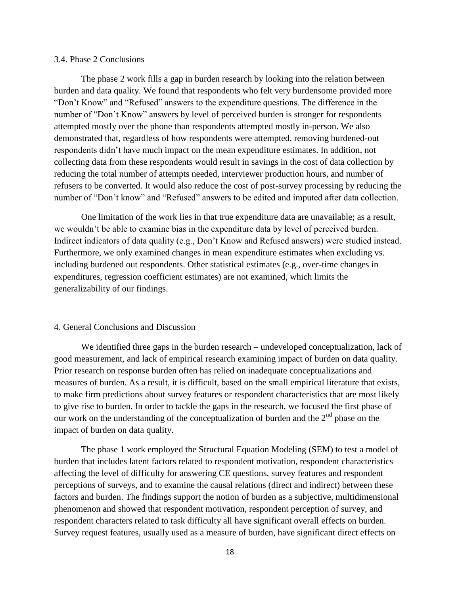## 3.4. Phase 2 Conclusions

The phase 2 work fills a gap in burden research by looking into the relation between burden and data quality. We found that respondents who felt very burdensome provided more "Don't Know" and "Refused" answers to the expenditure questions. The difference in the number of "Don't Know" answers by level of perceived burden is stronger for respondents attempted mostly over the phone than respondents attempted mostly in-person. We also demonstrated that, regardless of how respondents were attempted, removing burdened-out respondents didn't have much impact on the mean expenditure estimates. In addition, not collecting data from these respondents would result in savings in the cost of data collection by reducing the total number of attempts needed, interviewer production hours, and number of refusers to be converted. It would also reduce the cost of post-survey processing by reducing the number of "Don't know" and "Refused" answers to be edited and imputed after data collection.

One limitation of the work lies in that true expenditure data are unavailable; as a result, we wouldn't be able to examine bias in the expenditure data by level of perceived burden. Indirect indicators of data quality (e.g., Don't Know and Refused answers) were studied instead. Furthermore, we only examined changes in mean expenditure estimates when excluding vs. including burdened out respondents. Other statistical estimates (e.g., over-time changes in expenditures, regression coefficient estimates) are not examined, which limits the generalizability of our findings.

#### 4. General Conclusions and Discussion

We identified three gaps in the burden research – undeveloped conceptualization, lack of good measurement, and lack of empirical research examining impact of burden on data quality. Prior research on response burden often has relied on inadequate conceptualizations and measures of burden. As a result, it is difficult, based on the small empirical literature that exists, to make firm predictions about survey features or respondent characteristics that are most likely to give rise to burden. In order to tackle the gaps in the research, we focused the first phase of our work on the understanding of the conceptualization of burden and the  $2<sup>nd</sup>$  phase on the impact of burden on data quality.

The phase 1 work employed the Structural Equation Modeling (SEM) to test a model of burden that includes latent factors related to respondent motivation, respondent characteristics affecting the level of difficulty for answering CE questions, survey features and respondent perceptions of surveys, and to examine the causal relations (direct and indirect) between these factors and burden. The findings support the notion of burden as a subjective, multidimensional phenomenon and showed that respondent motivation, respondent perception of survey, and respondent characters related to task difficulty all have significant overall effects on burden. Survey request features, usually used as a measure of burden, have significant direct effects on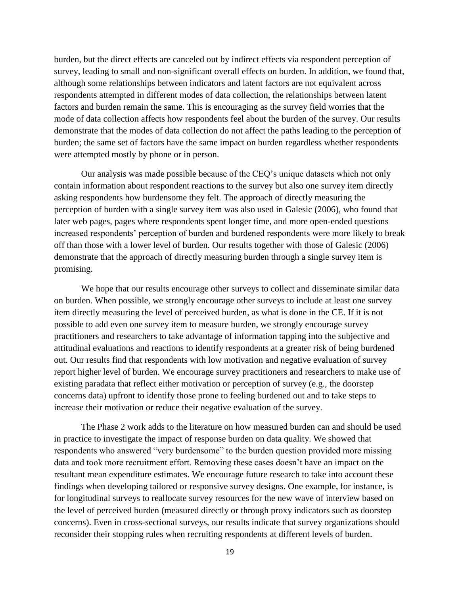burden, but the direct effects are canceled out by indirect effects via respondent perception of survey, leading to small and non-significant overall effects on burden. In addition, we found that, although some relationships between indicators and latent factors are not equivalent across respondents attempted in different modes of data collection, the relationships between latent factors and burden remain the same. This is encouraging as the survey field worries that the mode of data collection affects how respondents feel about the burden of the survey. Our results demonstrate that the modes of data collection do not affect the paths leading to the perception of burden; the same set of factors have the same impact on burden regardless whether respondents were attempted mostly by phone or in person.

Our analysis was made possible because of the CEQ's unique datasets which not only contain information about respondent reactions to the survey but also one survey item directly asking respondents how burdensome they felt. The approach of directly measuring the perception of burden with a single survey item was also used in Galesic (2006), who found that later web pages, pages where respondents spent longer time, and more open-ended questions increased respondents' perception of burden and burdened respondents were more likely to break off than those with a lower level of burden. Our results together with those of Galesic (2006) demonstrate that the approach of directly measuring burden through a single survey item is promising.

We hope that our results encourage other surveys to collect and disseminate similar data on burden. When possible, we strongly encourage other surveys to include at least one survey item directly measuring the level of perceived burden, as what is done in the CE. If it is not possible to add even one survey item to measure burden, we strongly encourage survey practitioners and researchers to take advantage of information tapping into the subjective and attitudinal evaluations and reactions to identify respondents at a greater risk of being burdened out. Our results find that respondents with low motivation and negative evaluation of survey report higher level of burden. We encourage survey practitioners and researchers to make use of existing paradata that reflect either motivation or perception of survey (e.g., the doorstep concerns data) upfront to identify those prone to feeling burdened out and to take steps to increase their motivation or reduce their negative evaluation of the survey.

The Phase 2 work adds to the literature on how measured burden can and should be used in practice to investigate the impact of response burden on data quality. We showed that respondents who answered "very burdensome" to the burden question provided more missing data and took more recruitment effort. Removing these cases doesn't have an impact on the resultant mean expenditure estimates. We encourage future research to take into account these findings when developing tailored or responsive survey designs. One example, for instance, is for longitudinal surveys to reallocate survey resources for the new wave of interview based on the level of perceived burden (measured directly or through proxy indicators such as doorstep concerns). Even in cross-sectional surveys, our results indicate that survey organizations should reconsider their stopping rules when recruiting respondents at different levels of burden.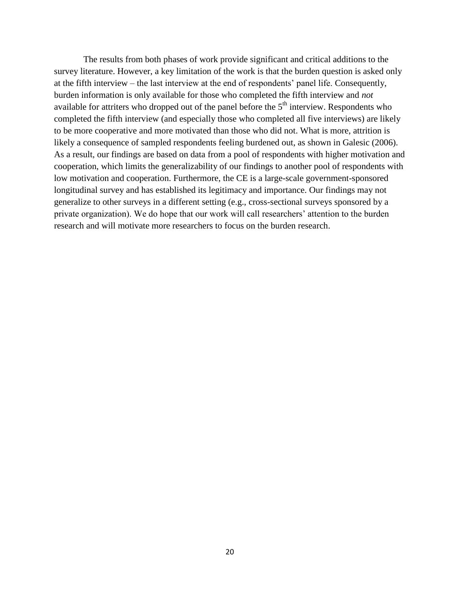The results from both phases of work provide significant and critical additions to the survey literature. However, a key limitation of the work is that the burden question is asked only at the fifth interview – the last interview at the end of respondents' panel life. Consequently, burden information is only available for those who completed the fifth interview and *not* available for attriters who dropped out of the panel before the  $5<sup>th</sup>$  interview. Respondents who completed the fifth interview (and especially those who completed all five interviews) are likely to be more cooperative and more motivated than those who did not. What is more, attrition is likely a consequence of sampled respondents feeling burdened out, as shown in Galesic (2006). As a result, our findings are based on data from a pool of respondents with higher motivation and cooperation, which limits the generalizability of our findings to another pool of respondents with low motivation and cooperation. Furthermore, the CE is a large-scale government-sponsored longitudinal survey and has established its legitimacy and importance. Our findings may not generalize to other surveys in a different setting (e.g., cross-sectional surveys sponsored by a private organization). We do hope that our work will call researchers' attention to the burden research and will motivate more researchers to focus on the burden research.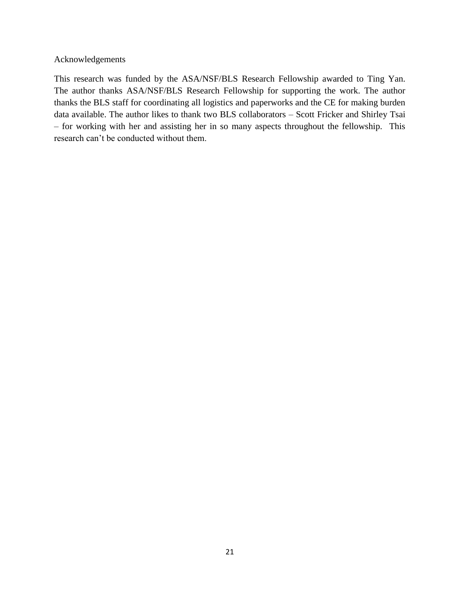# Acknowledgements

This research was funded by the ASA/NSF/BLS Research Fellowship awarded to Ting Yan. The author thanks ASA/NSF/BLS Research Fellowship for supporting the work. The author thanks the BLS staff for coordinating all logistics and paperworks and the CE for making burden data available. The author likes to thank two BLS collaborators – Scott Fricker and Shirley Tsai – for working with her and assisting her in so many aspects throughout the fellowship. This research can't be conducted without them.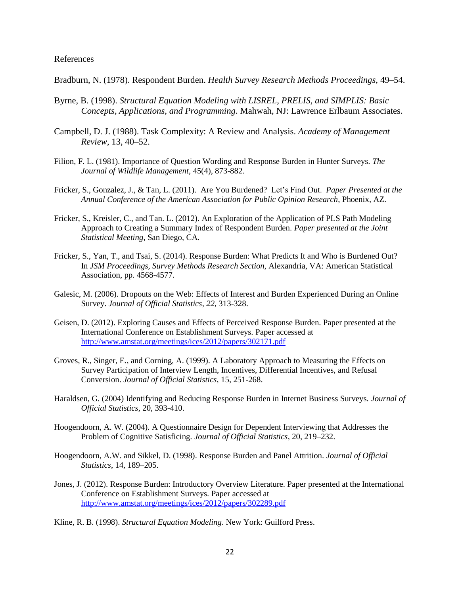#### References

Bradburn, N. (1978). Respondent Burden. *Health Survey Research Methods Proceedings,* 49–54.

- Byrne, B. (1998). *Structural Equation Modeling with LISREL, PRELIS, and SIMPLIS: Basic Concepts, Applications, and Programming*. Mahwah, NJ: Lawrence Erlbaum Associates.
- Campbell, D. J. (1988). Task Complexity: A Review and Analysis. *Academy of Management Review*, 13, 40–52.
- Filion, F. L. (1981). Importance of Question Wording and Response Burden in Hunter Surveys. *The Journal of Wildlife Management*, 45(4), 873-882.
- Fricker, S., Gonzalez, J., & Tan, L. (2011). Are You Burdened? Let's Find Out. *Paper Presented at the Annual Conference of the American Association for Public Opinion Research*, Phoenix, AZ.
- Fricker, S., Kreisler, C., and Tan. L. (2012). An Exploration of the Application of PLS Path Modeling Approach to Creating a Summary Index of Respondent Burden. *Paper presented at the Joint Statistical Meeting*, San Diego, CA.
- Fricker, S., Yan, T., and Tsai, S. (2014). Response Burden: What Predicts It and Who is Burdened Out? In *JSM Proceedings, Survey Methods Research Section*, Alexandria, VA: American Statistical Association, pp. 4568-4577.
- Galesic, M. (2006). Dropouts on the Web: Effects of Interest and Burden Experienced During an Online Survey. *Journal of Official Statistics*, *22*, 313-328.
- Geisen, D. (2012). Exploring Causes and Effects of Perceived Response Burden. Paper presented at the International Conference on Establishment Surveys. Paper accessed at <http://www.amstat.org/meetings/ices/2012/papers/302171.pdf>
- Groves, R., Singer, E., and Corning, A. (1999). A Laboratory Approach to Measuring the Effects on Survey Participation of Interview Length, Incentives, Differential Incentives, and Refusal Conversion. *Journal of Official Statistics*, 15, 251-268.
- Haraldsen, G. (2004) Identifying and Reducing Response Burden in Internet Business Surveys. *Journal of Official Statistics,* 20, 393-410.
- Hoogendoorn, A. W. (2004). A Questionnaire Design for Dependent Interviewing that Addresses the Problem of Cognitive Satisficing. *Journal of Official Statistics*, 20, 219–232.
- Hoogendoorn, A.W. and Sikkel, D. (1998). Response Burden and Panel Attrition. *Journal of Official Statistics*, 14, 189–205.
- Jones, J. (2012). Response Burden: Introductory Overview Literature. Paper presented at the International Conference on Establishment Surveys. Paper accessed at <http://www.amstat.org/meetings/ices/2012/papers/302289.pdf>
- Kline, R. B. (1998). *Structural Equation Modeling*. New York: Guilford Press.